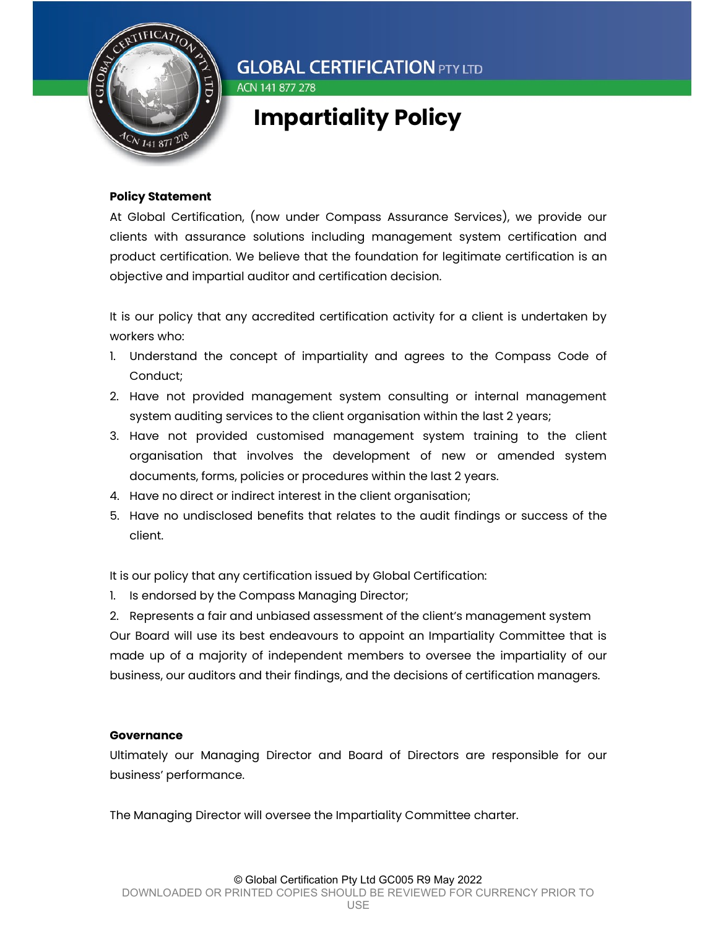

### ACN 141 877 278

### Impartiality Policy

### Policy Statement

At Global Certification, (now under Compass Assurance Services), we provide our clients with assurance solutions including management system certification and product certification. We believe that the foundation for legitimate certification is an objective and impartial auditor and certification decision.

It is our policy that any accredited certification activity for a client is undertaken by workers who:

- 1. Understand the concept of impartiality and agrees to the Compass Code of Conduct;
- 2. Have not provided management system consulting or internal management system auditing services to the client organisation within the last 2 years;
- 3. Have not provided customised management system training to the client organisation that involves the development of new or amended system documents, forms, policies or procedures within the last 2 years.
- 4. Have no direct or indirect interest in the client organisation;
- 5. Have no undisclosed benefits that relates to the audit findings or success of the client.

It is our policy that any certification issued by Global Certification:

1. Is endorsed by the Compass Managing Director;

2. Represents a fair and unbiased assessment of the client's management system Our Board will use its best endeavours to appoint an Impartiality Committee that is made up of a majority of independent members to oversee the impartiality of our business, our auditors and their findings, and the decisions of certification managers.

#### **Governance**

Ultimately our Managing Director and Board of Directors are responsible for our business' performance.

The Managing Director will oversee the Impartiality Committee charter.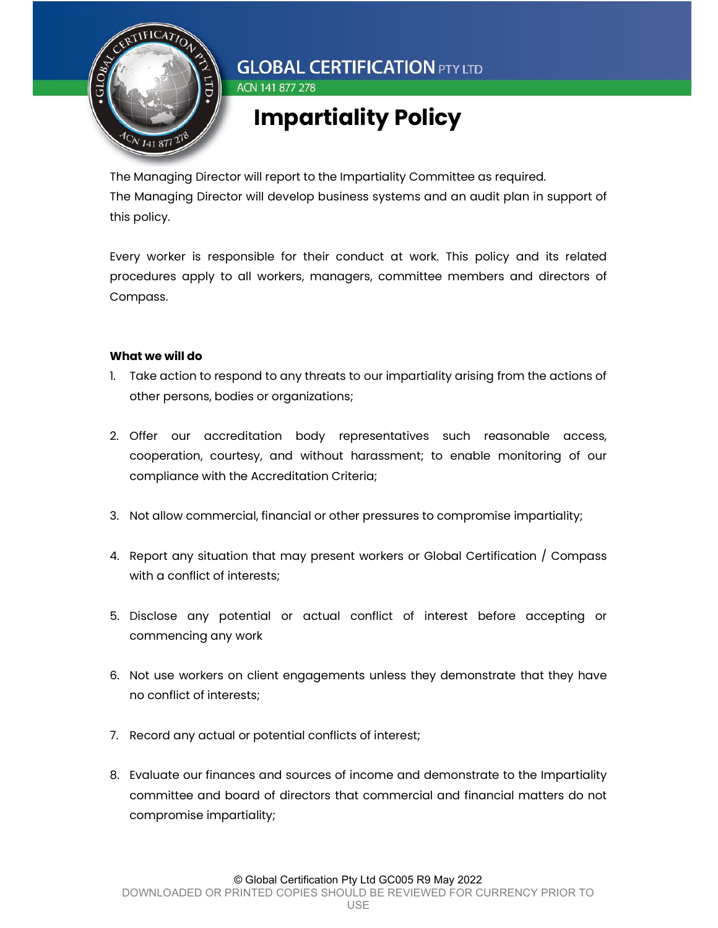

## Impartiality Policy

The Managing Director will report to the Impartiality Committee as required. The Managing Director will develop business systems and an audit plan in support of this policy.

Every worker is responsible for their conduct at work. This policy and its related procedures apply to all workers, managers, committee members and directors of Compass.

### What we will do

- 1. Take action to respond to any threats to our impartiality arising from the actions of other persons, bodies or organizations;
- 2. Offer our accreditation body representatives such reasonable access, cooperation, courtesy, and without harassment; to enable monitoring of our compliance with the Accreditation Criteria;
- 3. Not allow commercial, financial or other pressures to compromise impartiality;
- 4. Report any situation that may present workers or Global Certification / Compass with a conflict of interests;
- 5. Disclose any potential or actual conflict of interest before accepting or commencing any work
- 6. Not use workers on client engagements unless they demonstrate that they have no conflict of interests;
- 7. Record any actual or potential conflicts of interest;
- 8. Evaluate our finances and sources of income and demonstrate to the Impartiality committee and board of directors that commercial and financial matters do not compromise impartiality;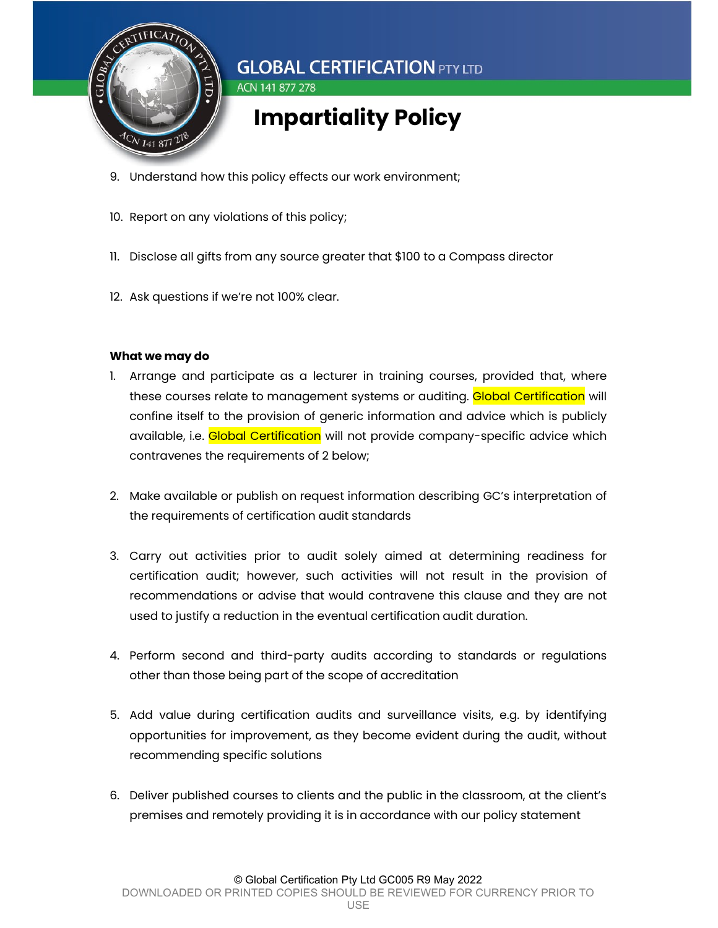

- 9. Understand how this policy effects our work environment;
- 10. Report on any violations of this policy;
- 11. Disclose all gifts from any source greater that \$100 to a Compass director
- 12. Ask questions if we're not 100% clear.

### What we may do

- 1. Arrange and participate as a lecturer in training courses, provided that, where these courses relate to management systems or auditing. Global Certification will confine itself to the provision of generic information and advice which is publicly available, i.e. Global Certification will not provide company-specific advice which contravenes the requirements of 2 below;
- 2. Make available or publish on request information describing GC's interpretation of the requirements of certification audit standards
- 3. Carry out activities prior to audit solely aimed at determining readiness for certification audit; however, such activities will not result in the provision of recommendations or advise that would contravene this clause and they are not used to justify a reduction in the eventual certification audit duration.
- 4. Perform second and third-party audits according to standards or regulations other than those being part of the scope of accreditation
- 5. Add value during certification audits and surveillance visits, e.g. by identifying opportunities for improvement, as they become evident during the audit, without recommending specific solutions
- 6. Deliver published courses to clients and the public in the classroom, at the client's premises and remotely providing it is in accordance with our policy statement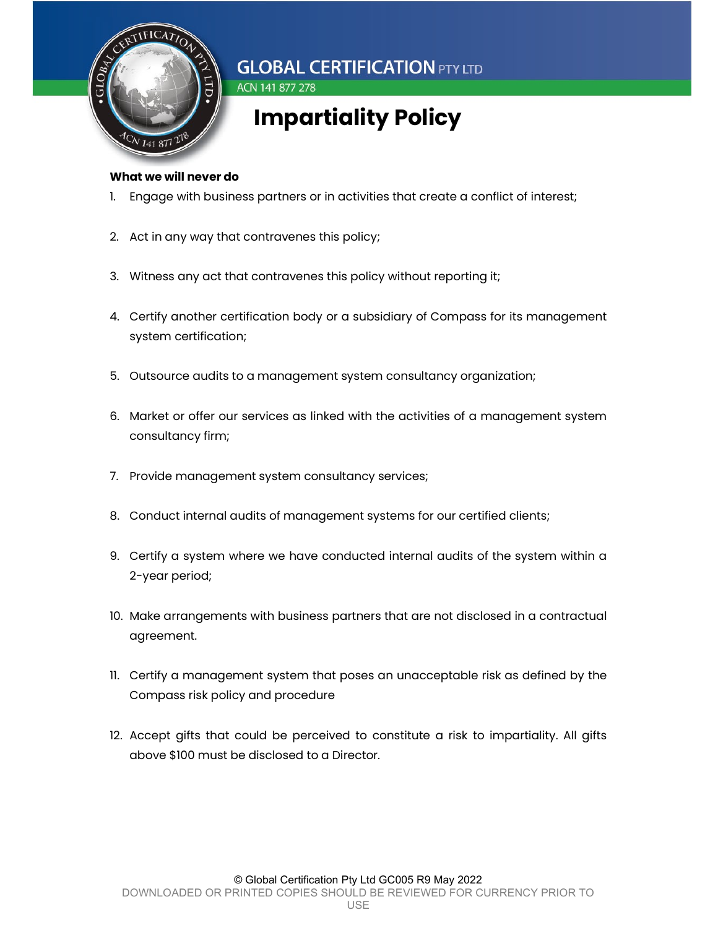

# Impartiality Policy

#### What we will never do

- 1. Engage with business partners or in activities that create a conflict of interest;
- 2. Act in any way that contravenes this policy;

ACN 141 877 278

- 3. Witness any act that contravenes this policy without reporting it;
- 4. Certify another certification body or a subsidiary of Compass for its management system certification;
- 5. Outsource audits to a management system consultancy organization;
- 6. Market or offer our services as linked with the activities of a management system consultancy firm;
- 7. Provide management system consultancy services;
- 8. Conduct internal audits of management systems for our certified clients;
- 9. Certify a system where we have conducted internal audits of the system within a 2-year period;
- 10. Make arrangements with business partners that are not disclosed in a contractual agreement.
- 11. Certify a management system that poses an unacceptable risk as defined by the Compass risk policy and procedure
- 12. Accept gifts that could be perceived to constitute a risk to impartiality. All gifts above \$100 must be disclosed to a Director.